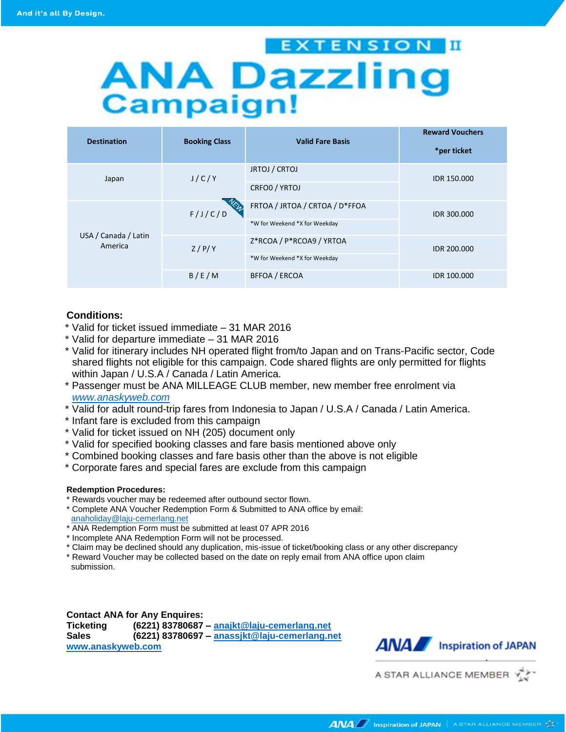## EXTENSION III **ANA Dazzling**<br>Campaign!

| <b>Destination</b>              | <b>Booking Class</b> | <b>Valid Fare Basis</b>        | <b>Reward Vouchers</b><br>*per ticket |
|---------------------------------|----------------------|--------------------------------|---------------------------------------|
| Japan                           | J/C/Y                | JRTOJ / CRTOJ                  | IDR 150,000                           |
|                                 |                      | CRFO0 / YRTOJ                  |                                       |
| USA / Canada / Latin<br>America | F/J/C/D              | FRTOA / JRTOA / CRTOA / D*FFOA | IDR 300,000                           |
|                                 |                      | *W for Weekend *X for Weekday  |                                       |
|                                 | Z/P/Y                | Z*RCOA / P*RCOA9 / YRTOA       | IDR 200,000                           |
|                                 |                      | *W for Weekend *X for Weekday  |                                       |
|                                 | B/E/M                | <b>BFFOA / ERCOA</b>           | IDR 100,000                           |

### **Conditions:**

- \* Valid for ticket issued immediate 31 MAR 2016
- \* Valid for departure immediate 31 MAR 2016
- \* Valid for itinerary includes NH operated flight from/to Japan and on Trans-Pacific sector, Code shared flights not eligible for this campaign. Code shared flights are only permitted for flights within Japan / U.S.A / Canada / Latin America.
- \* Passenger must be ANA MILLEAGE CLUB member, new member free enrolment via *[www.anaskyweb.com](http://www.anaskyweb.com/)*
- \* Valid for adult round-trip fares from Indonesia to Japan / U.S.A / Canada / Latin America.
- \* Infant fare is excluded from this campaign
- \* Valid for ticket issued on NH (205) document only
- \* Valid for specified booking classes and fare basis mentioned above only
- \* Combined booking classes and fare basis other than the above is not eligible
- \* Corporate fares and special fares are exclude from this campaign

#### **Redemption Procedures:**

- \* Rewards voucher may be redeemed after outbound sector flown.
- \* Complete ANA Voucher Redemption Form & Submitted to ANA office by email: [anaholiday@laju-cemerlang.net](mailto:anaholiday@laju-cemerlang.net)
- \* ANA Redemption Form must be submitted at least 07 APR 2016
- \* Incomplete ANA Redemption Form will not be processed.
- \* Claim may be declined should any duplication, mis-issue of ticket/booking class or any other discrepancy
- \* Reward Voucher may be collected based on the date on reply email from ANA office upon claim submission.

### **Contact ANA for Any Enquires:**

**Ticketing (6221) 83780687 – [anajkt@laju-cemerlang.net](mailto:anajkt@laju-cemerlang.net) Sales (6221) 83780697 – [anassjkt@laju-cemerlang.net](mailto:anassjkt@laju-cemerlang.net)**





A STAR ALLIANCE MEMBER Y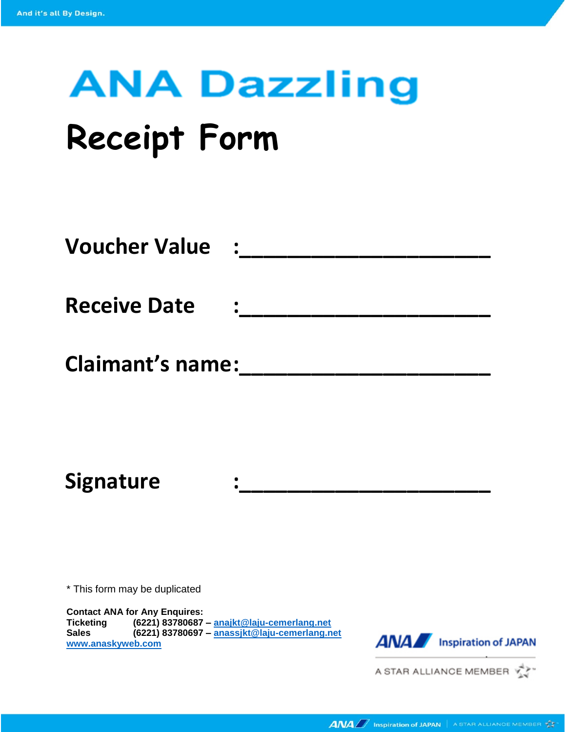# **ANA Dazzling**

## **Receipt Form**

| <b>Voucher Value</b>    | $\mathbf{r}$ |
|-------------------------|--------------|
| <b>Receive Date</b>     | $\bullet$    |
| <b>Claimant's name:</b> |              |

**Signature :\_\_\_\_\_\_\_\_\_\_\_\_\_\_\_\_\_\_\_\_\_** 

\* This form may be duplicated

**Contact ANA for Any Enquires: Ticketing (6221) 83780687 – [anajkt@laju-cemerlang.net](mailto:anajkt@laju-cemerlang.net) Sales (6221) 83780697 – [anassjkt@laju-cemerlang.net](mailto:anassjkt@laju-cemerlang.net) [www.anaskyweb.com](http://www.anaskyweb.com/)**



A STAR ALLIANCE MEMBER  $\overrightarrow{Y}$